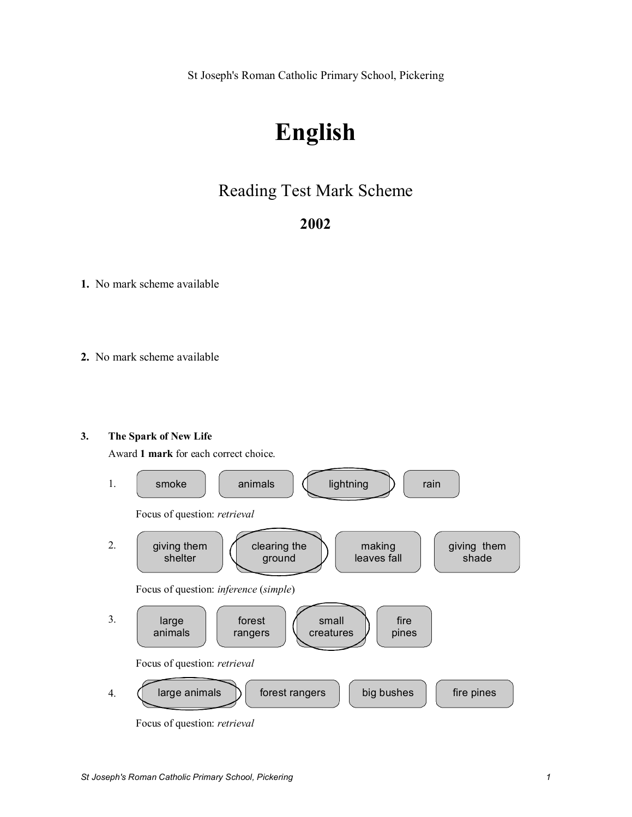St Joseph's Roman Catholic Primary School, Pickering

# **English**

# Reading Test Mark Scheme

# **2002**

**1.** No mark scheme available

**2.** No mark scheme available

### **3. The Spark of New Life**

Award **1 mark** for each correct choice.



Focus of question: *retrieval*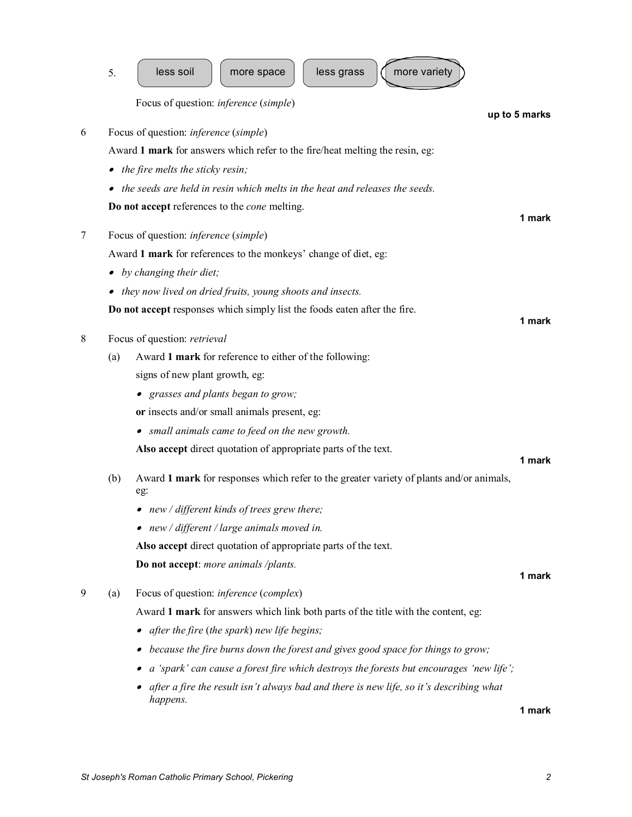|   | 5.                                                                                                                           | less soil<br>less grass<br>more variety<br>more space                                               |               |  |  |
|---|------------------------------------------------------------------------------------------------------------------------------|-----------------------------------------------------------------------------------------------------|---------------|--|--|
|   |                                                                                                                              | Focus of question: inference (simple)                                                               |               |  |  |
| 6 |                                                                                                                              |                                                                                                     | up to 5 marks |  |  |
|   | Focus of question: <i>inference</i> (simple)<br>Award 1 mark for answers which refer to the fire/heat melting the resin, eg: |                                                                                                     |               |  |  |
|   |                                                                                                                              | the fire melts the sticky resin;                                                                    |               |  |  |
|   |                                                                                                                              | the seeds are held in resin which melts in the heat and releases the seeds.                         |               |  |  |
|   |                                                                                                                              |                                                                                                     |               |  |  |
|   | Do not accept references to the <i>cone</i> melting.                                                                         |                                                                                                     |               |  |  |
| 7 | Focus of question: <i>inference</i> (simple)                                                                                 |                                                                                                     |               |  |  |
|   | Award 1 mark for references to the monkeys' change of diet, eg:                                                              |                                                                                                     |               |  |  |
|   | by changing their diet;                                                                                                      |                                                                                                     |               |  |  |
|   | they now lived on dried fruits, young shoots and insects.                                                                    |                                                                                                     |               |  |  |
|   | Do not accept responses which simply list the foods eaten after the fire.                                                    |                                                                                                     |               |  |  |
|   |                                                                                                                              |                                                                                                     | 1 mark        |  |  |
| 8 | Focus of question: retrieval                                                                                                 |                                                                                                     |               |  |  |
|   | (a)                                                                                                                          | Award 1 mark for reference to either of the following:                                              |               |  |  |
|   |                                                                                                                              | signs of new plant growth, eg:                                                                      |               |  |  |
|   |                                                                                                                              | • grasses and plants began to grow;                                                                 |               |  |  |
|   |                                                                                                                              | or insects and/or small animals present, eg:                                                        |               |  |  |
|   |                                                                                                                              | • small animals came to feed on the new growth.                                                     |               |  |  |
|   |                                                                                                                              | Also accept direct quotation of appropriate parts of the text.                                      | 1 mark        |  |  |
|   | (b)                                                                                                                          | Award 1 mark for responses which refer to the greater variety of plants and/or animals,<br>eg:      |               |  |  |
|   |                                                                                                                              | • new / different kinds of trees grew there;                                                        |               |  |  |
|   |                                                                                                                              | • new / different / large animals moved in.                                                         |               |  |  |
|   |                                                                                                                              | Also accept direct quotation of appropriate parts of the text.                                      |               |  |  |
|   |                                                                                                                              | Do not accept: more animals /plants.                                                                |               |  |  |
|   |                                                                                                                              |                                                                                                     | 1 mark        |  |  |
| 9 | (a)                                                                                                                          | Focus of question: <i>inference</i> ( <i>complex</i> )                                              |               |  |  |
|   |                                                                                                                              | Award 1 mark for answers which link both parts of the title with the content, eg:                   |               |  |  |
|   |                                                                                                                              | • after the fire (the spark) new life begins;                                                       |               |  |  |
|   |                                                                                                                              | because the fire burns down the forest and gives good space for things to grow;                     |               |  |  |
|   |                                                                                                                              | a 'spark' can cause a forest fire which destroys the forests but encourages 'new life';             |               |  |  |
|   |                                                                                                                              | after a fire the result isn't always bad and there is new life, so it's describing what<br>happens. |               |  |  |
|   |                                                                                                                              |                                                                                                     | 1 mark        |  |  |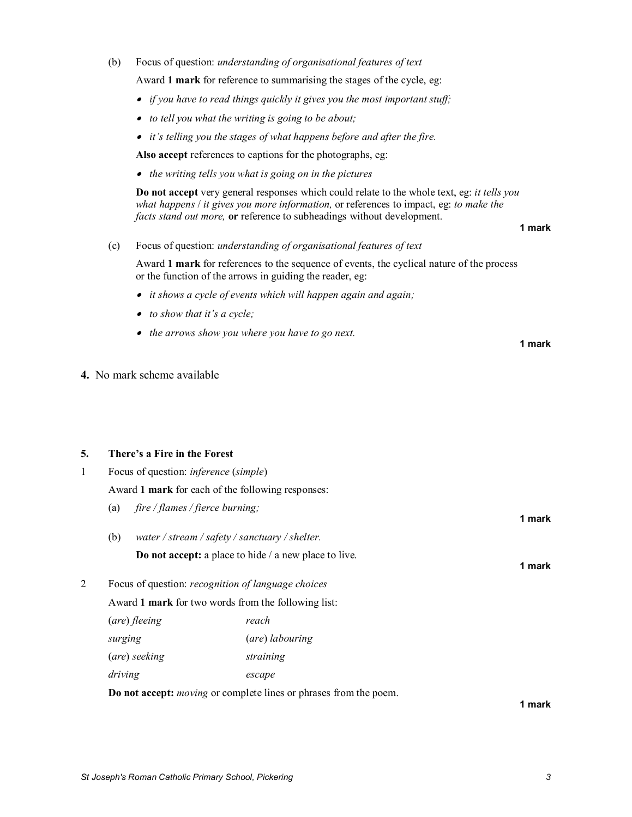# (b) Focus of question: *understanding of organisational features of text*

Award **1 mark** for reference to summarising the stages of the cycle, eg:

- · *if you have to read things quickly it gives you the most important stuff;*
- · *to tell you what the writing is going to be about;*
- · *it's telling you the stages of what happens before and after the fire.*

**Also accept** references to captions for the photographs, eg:

· *the writing tells you what is going on in the pictures*

**Do not accept** very general responses which could relate to the whole text, eg: *it tells you what happens* / *it gives you more information,* or references to impact, eg: *to make the facts stand out more,* **or** reference to subheadings without development.

#### **1 mark**

**1 mark**

(c) Focus of question: *understanding of organisational features of text*

Award **1 mark** for references to the sequence of events, the cyclical nature of the process or the function of the arrows in guiding the reader, eg:

- · *it shows a cycle of events which will happen again and again;*
- · *to show that it's a cycle;*
- · *the arrows show you where you have to go next.*

**4.** No mark scheme available

## **5. There's a Fire in the Forest**

| 1 | Focus of question: <i>inference</i> ( <i>simple</i> )     |                                                                                 |                 |  |  |  |  |
|---|-----------------------------------------------------------|---------------------------------------------------------------------------------|-----------------|--|--|--|--|
|   | Award 1 mark for each of the following responses:         |                                                                                 |                 |  |  |  |  |
|   | fire / flames / fierce burning;<br>(a)                    |                                                                                 |                 |  |  |  |  |
|   | (b)<br>water / stream / safety / sanctuary / shelter.     |                                                                                 |                 |  |  |  |  |
|   |                                                           | 1 mark                                                                          |                 |  |  |  |  |
| 2 | Focus of question: <i>recognition of language choices</i> |                                                                                 |                 |  |  |  |  |
|   | Award 1 mark for two words from the following list:       |                                                                                 |                 |  |  |  |  |
|   | (are) fleeing                                             |                                                                                 | reach           |  |  |  |  |
|   | surging                                                   |                                                                                 | (are) labouring |  |  |  |  |
|   | (are) seeking                                             |                                                                                 | straining       |  |  |  |  |
|   | driving                                                   |                                                                                 | escape          |  |  |  |  |
|   |                                                           | <b>Do not accept:</b> <i>moving</i> or complete lines or phrases from the poem. |                 |  |  |  |  |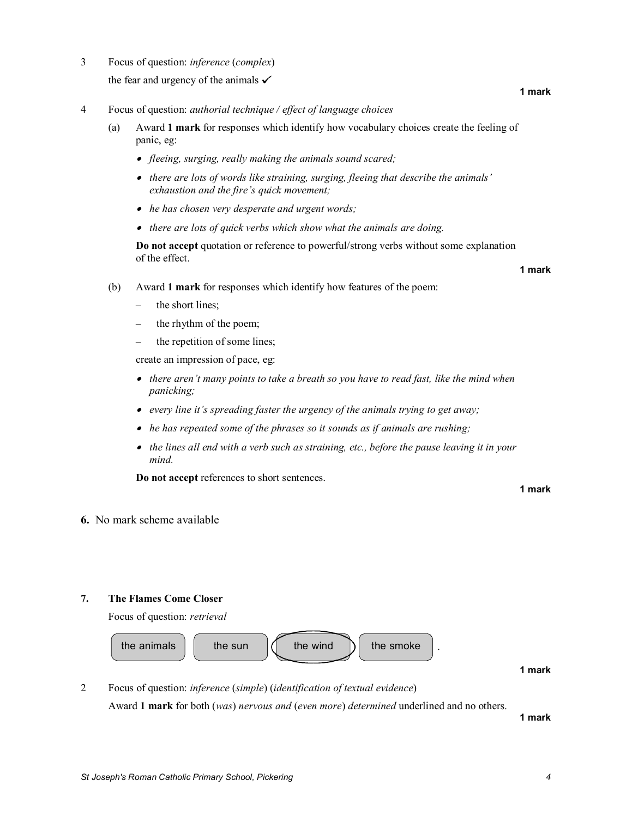*St Joseph's Roman Catholic Primary School, Pickering 4*

- 3 Focus of question: *inference* (*complex*) the fear and urgency of the animals  $\checkmark$
- 4 Focus of question: *authorial technique / effect of language choices*
	- (a) Award **1 mark** for responses which identify how vocabulary choices create the feeling of panic, eg:
		- · *fleeing, surging, really making the animals sound scared;*
		- · *there are lots of words like straining, surging, fleeing that describe the animals' exhaustion and the fire's quick movement;*
		- · *he has chosen very desperate and urgent words;*
		- · *there are lots of quick verbs which show what the animals are doing.*

**Do not accept** quotation or reference to powerful/strong verbs without some explanation of the effect.

- **1 mark**
- (b) Award **1 mark** for responses which identify how features of the poem:
	- the short lines:
	- the rhythm of the poem;
	- the repetition of some lines;

create an impression of pace, eg:

- · *there aren't many points to take a breath so you have to read fast, like the mind when panicking;*
- · *every line it's spreading faster the urgency of the animals trying to get away;*
- · *he has repeated some of the phrases so it sounds as if animals are rushing;*
- · *the lines all end with a verb such as straining, etc., before the pause leaving it in your mind.*

**Do not accept** references to short sentences.

**1 mark**

#### **6.** No mark scheme available

### **7. The Flames Come Closer**

Focus of question: *retrieval* 



2 Focus of question: *inference* (*simple*) (*identification of textual evidence*) Award **1 mark** for both (*was*) *nervous and* (*even more*) *determined* underlined and no others.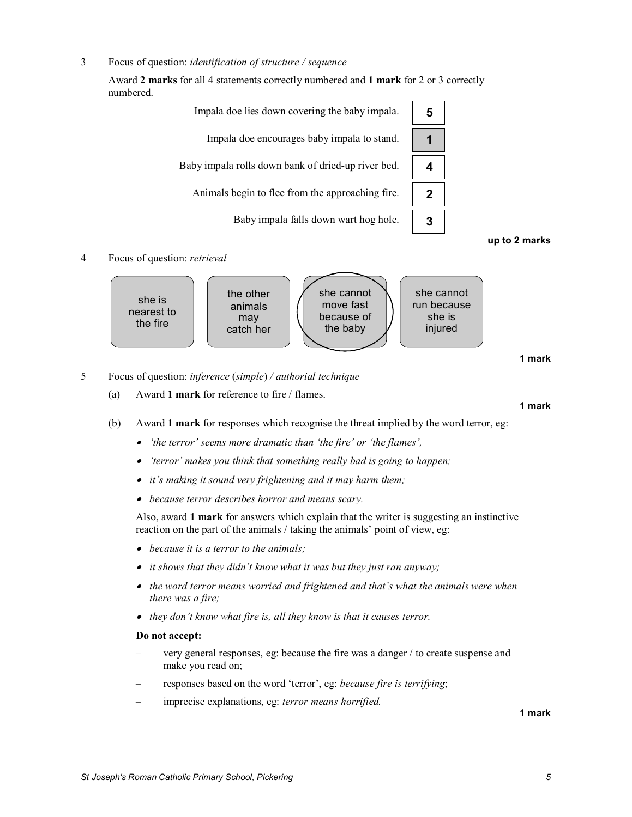3 Focus of question: *identification of structure / sequence*

Award **2 marks** for all 4 statements correctly numbered and **1 mark** for 2 or 3 correctly numbered.





#### **up to 2 marks**

#### 4 Focus of question: *retrieval*



**1 mark**

- 5 Focus of question: *inference* (*simple*) */ authorial technique*
	- (a) Award **1 mark** for reference to fire / flames.

#### **1 mark**

- (b) Award **1 mark** for responses which recognise the threat implied by the word terror, eg:
	- · *'the terror' seems more dramatic than 'the fire' or 'the flames',*
	- · *'terror' makes you think that something really bad is going to happen;*
	- · *it's making it sound very frightening and it may harm them;*
	- · *because terror describes horror and means scary.*

Also, award **1 mark** for answers which explain that the writer is suggesting an instinctive reaction on the part of the animals / taking the animals' point of view, eg:

- · *because it is a terror to the animals;*
- · *it shows that they didn't know what it was but they just ran anyway;*
- · *the word terror means worried and frightened and that's what the animals were when there was a fire;*
- · *they don't know what fire is, all they know is that it causes terror.*

### **Do not accept:**

- very general responses, eg: because the fire was a danger / to create suspense and make you read on;
- responses based on the word 'terror', eg: *because fire is terrifying*;
- imprecise explanations, eg: *terror means horrified.*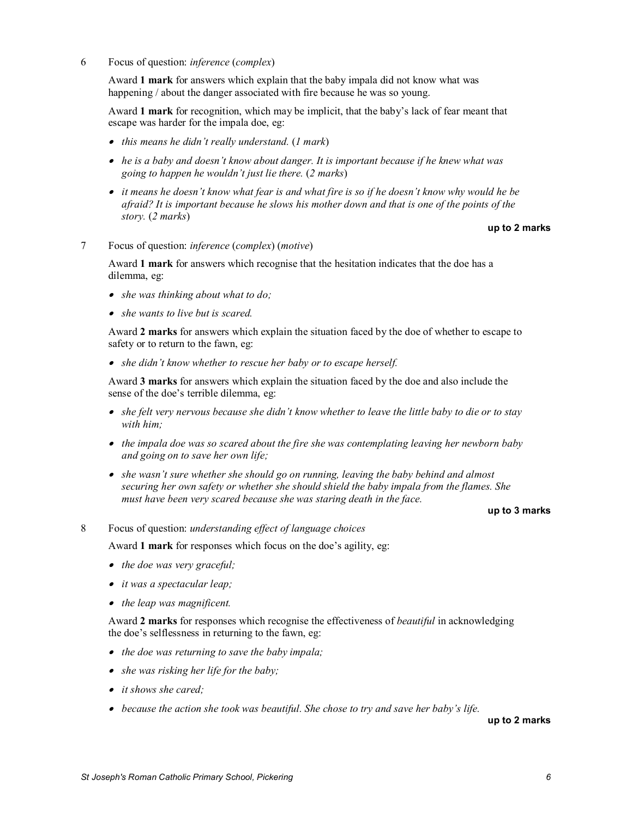6 Focus of question: *inference* (*complex*)

Award **1 mark** for answers which explain that the baby impala did not know what was happening / about the danger associated with fire because he was so young.

Award **1 mark** for recognition, which may be implicit, that the baby's lack of fear meant that escape was harder for the impala doe, eg:

- · *this means he didn't really understand.* (*1 mark*)
- · *he is a baby and doesn't know about danger. It is important because if he knew what was going to happen he wouldn't just lie there.* (*2 marks*)
- · *it means he doesn't know what fear is and what fire is so if he doesn't know why would he be afraid? It is important because he slows his mother down and that is one of the points of the story.* (*2 marks*)

#### **up to 2 marks**

7 Focus of question: *inference* (*complex*) (*motive*)

Award **1 mark** for answers which recognise that the hesitation indicates that the doe has a dilemma, eg:

- · *she was thinking about what to do;*
- · *she wants to live but is scared.*

Award **2 marks** for answers which explain the situation faced by the doe of whether to escape to safety or to return to the fawn, eg:

· *she didn't know whether to rescue her baby or to escape herself.*

Award **3 marks** for answers which explain the situation faced by the doe and also include the sense of the doe's terrible dilemma, eg:

- · *she felt very nervous because she didn't know whether to leave the little baby to die or to stay with him;*
- · *the impala doe was so scared about the fire she was contemplating leaving her newborn baby and going on to save her own life;*
- · *she wasn't sure whether she should go on running, leaving the baby behind and almost securing her own safety or whether she should shield the baby impala from the flames. She must have been very scared because she was staring death in the face.*

#### **up to 3 marks**

#### 8 Focus of question: *understanding effect of language choices*

Award **1 mark** for responses which focus on the doe's agility, eg:

- · *the doe was very graceful;*
- · *it was a spectacular leap;*
- · *the leap was magnificent.*

Award **2 marks** for responses which recognise the effectiveness of *beautiful* in acknowledging the doe's selflessness in returning to the fawn, eg:

- · *the doe was returning to save the baby impala;*
- · *she was risking her life for the baby;*
- · *it shows she cared;*
- · *because the action she took was beautiful. She chose to try and save her baby's life.*

**up to 2 marks**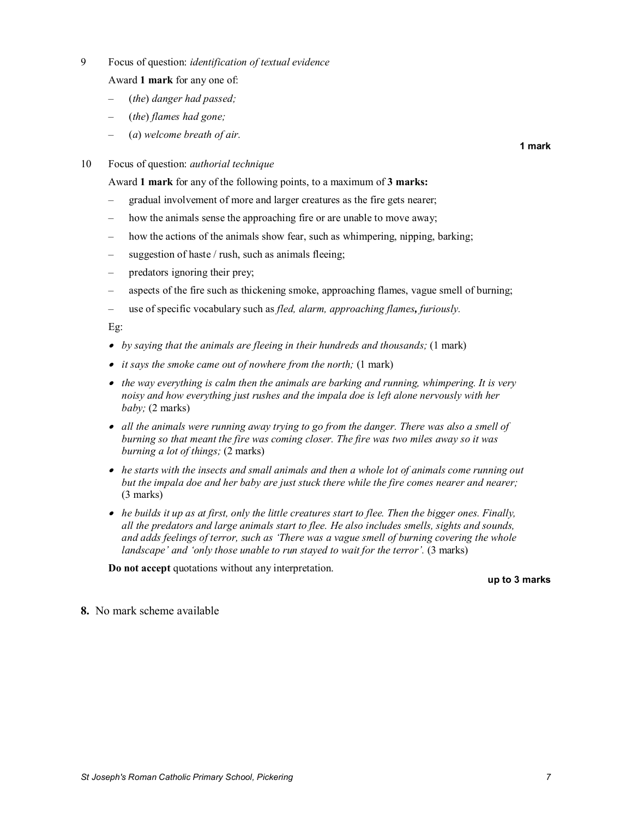9 Focus of question: *identification of textual evidence*

Award **1 mark** for any one of:

- (*the*) *danger had passed;*
- (*the*) *flames had gone;*
- (*a*) *welcome breath of air.*

**1 mark**

10 Focus of question: *authorial technique*

Award **1 mark** for any of the following points, to a maximum of **3 marks:**

- gradual involvement of more and larger creatures as the fire gets nearer;
- how the animals sense the approaching fire or are unable to move away;
- how the actions of the animals show fear, such as whimpering, nipping, barking;
- suggestion of haste / rush, such as animals fleeing;
- predators ignoring their prey;
- aspects of the fire such as thickening smoke, approaching flames, vague smell of burning;
- use of specific vocabulary such as *fled, alarm, approaching flames, furiously.*

Eg:

- · *by saying that the animals are fleeing in their hundreds and thousands;* (1 mark)
- · *it says the smoke came out of nowhere from the north;* (1 mark)
- · *the way everything is calm then the animals are barking and running, whimpering. It is very noisy and how everything just rushes and the impala doe is left alone nervously with her baby;* (2 marks)
- · *all the animals were running away trying to go from the danger. There was also a smell of burning so that meant the fire was coming closer. The fire was two miles away so it was burning a lot of things;* (2 marks)
- · *he starts with the insects and small animals and then a whole lot of animals come running out but the impala doe and her baby are just stuck there while the fire comes nearer and nearer;* (3 marks)
- · *he builds it up as at first, only the little creatures start to flee. Then the bigger ones. Finally, all the predators and large animals start to flee. He also includes smells, sights and sounds, and adds feelings of terror, such as 'There was a vague smell of burning covering the whole landscape' and 'only those unable to run stayed to wait for the terror'.* (3 marks)

**Do not accept** quotations without any interpretation.

**up to 3 marks**

**8.** No mark scheme available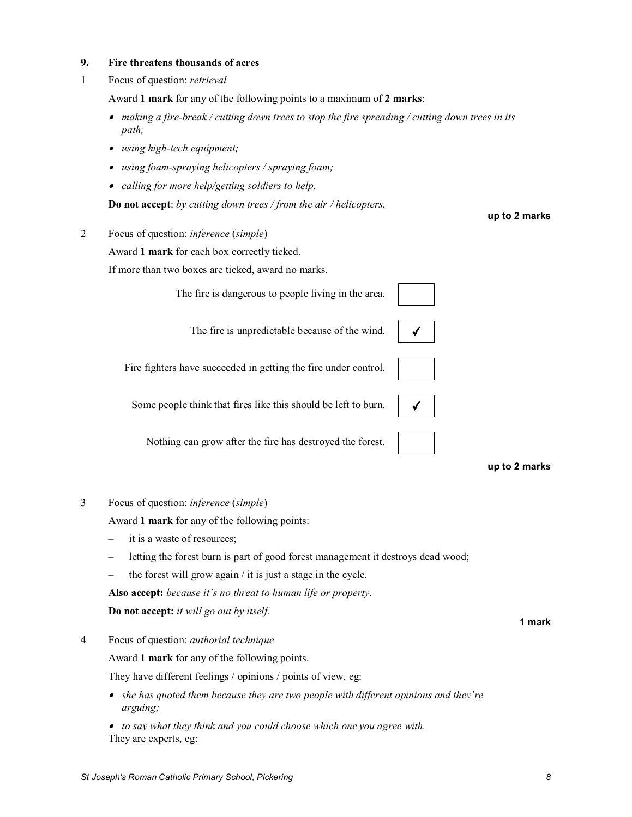#### **9. Fire threatens thousands of acres**

1 Focus of question: *retrieval*

Award **1 mark** for any of the following points to a maximum of **2 marks**:

- · *making a firebreak / cutting down trees to stop the fire spreading / cutting down trees in its path;*
- *using high-tech equipment;*
- · *using foamspraying helicopters / spraying foam;*
- · *calling for more help/getting soldiers to help.*

**Do not accept**: *by cutting down trees / from the air / helicopters.* 

2 Focus of question: *inference* (*simple*)

Award **1 mark** for each box correctly ticked.

If more than two boxes are ticked, award no marks.

The fire is dangerous to people living in the area.



Fire fighters have succeeded in getting the fire under control.

Some people think that fires like this should be left to burn.

Nothing can grow after the fire has destroyed the forest.

**up to 2 marks**

3 Focus of question: *inference* (*simple*)

Award **1 mark** for any of the following points:

- it is a waste of resources;
- letting the forest burn is part of good forest management it destroys dead wood;
- the forest will grow again  $\ell$  it is just a stage in the cycle.

**Also accept:** *because it's no threat to human life or property*.

**Do not accept:** *it will go out by itself.* 

4 Focus of question: *authorial technique*

Award **1 mark** for any of the following points.

They have different feelings / opinions / points of view, eg:

- · *she has quoted them because they are two people with different opinions and they're arguing;*
- · *to say what they think and you could choose which one you agree with.* They are experts, eg:

**up to 2 marks**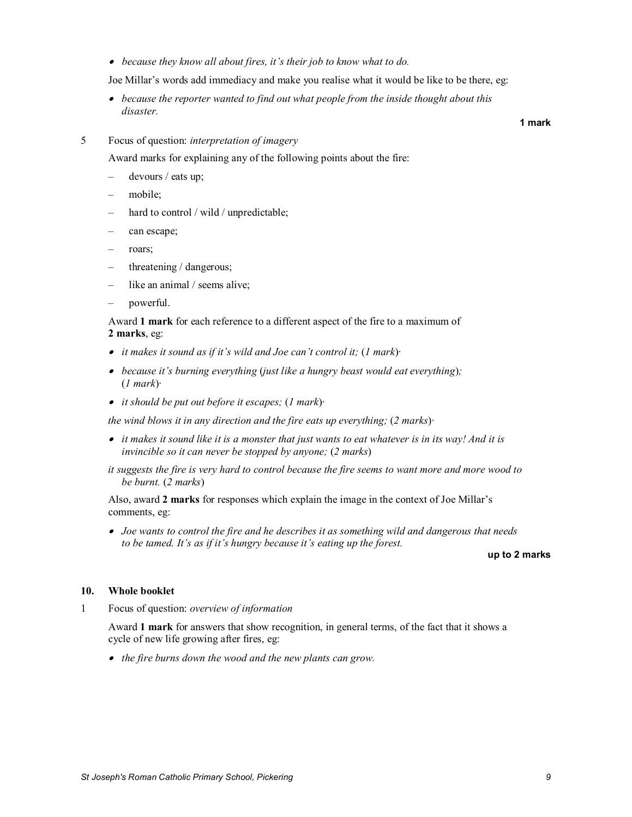· *because they know all about fires, it's their job to know what to do.*

Joe Millar's words add immediacy and make you realise what it would be like to be there, eg:

- · *because the reporter wanted to find out what people from the inside thought about this disaster.*
- 5 Focus of question: *interpretation of imagery*

Award marks for explaining any of the following points about the fire:

- devours / eats up;
- mobile:
- hard to control / wild / unpredictable;
- can escape;
- roars;
- threatening / dangerous;
- like an animal / seems alive;
- powerful.

Award **1 mark** for each reference to a different aspect of the fire to a maximum of **2 marks**, eg:

- · *it makes it sound as if it's wild and Joe can't control it;* (*1 mark*)*∙*
- · *because it's burning everything* (*just like a hungry beast would eat everything*)*;* (*1 mark*)*∙*
- · *it should be put out before it escapes;* (*1 mark*)*∙*

*the wind blows it in any direction and the fire eats up everything;* (*2 marks*)*∙*

- · *it makes it sound like it is a monster that just wants to eat whatever is in its way! And it is invincible so it can never be stopped by anyone;* (*2 marks*)
- *it suggests the fire is very hard to control because the fire seems to want more and more wood to be burnt.* (*2 marks*)

Also, award **2 marks** for responses which explain the image in the context of Joe Millar's comments, eg:

· *Joe wants to control the fire and he describes it as something wild and dangerous that needs to be tamed. It's as if it's hungry because it's eating up the forest.* 

**up to 2 marks**

#### **10. Whole booklet**

1 Focus of question: *overview of information*

Award **1 mark** for answers that show recognition, in general terms, of the fact that it shows a cycle of new life growing after fires, eg:

· *the fire burns down the wood and the new plants can grow.*